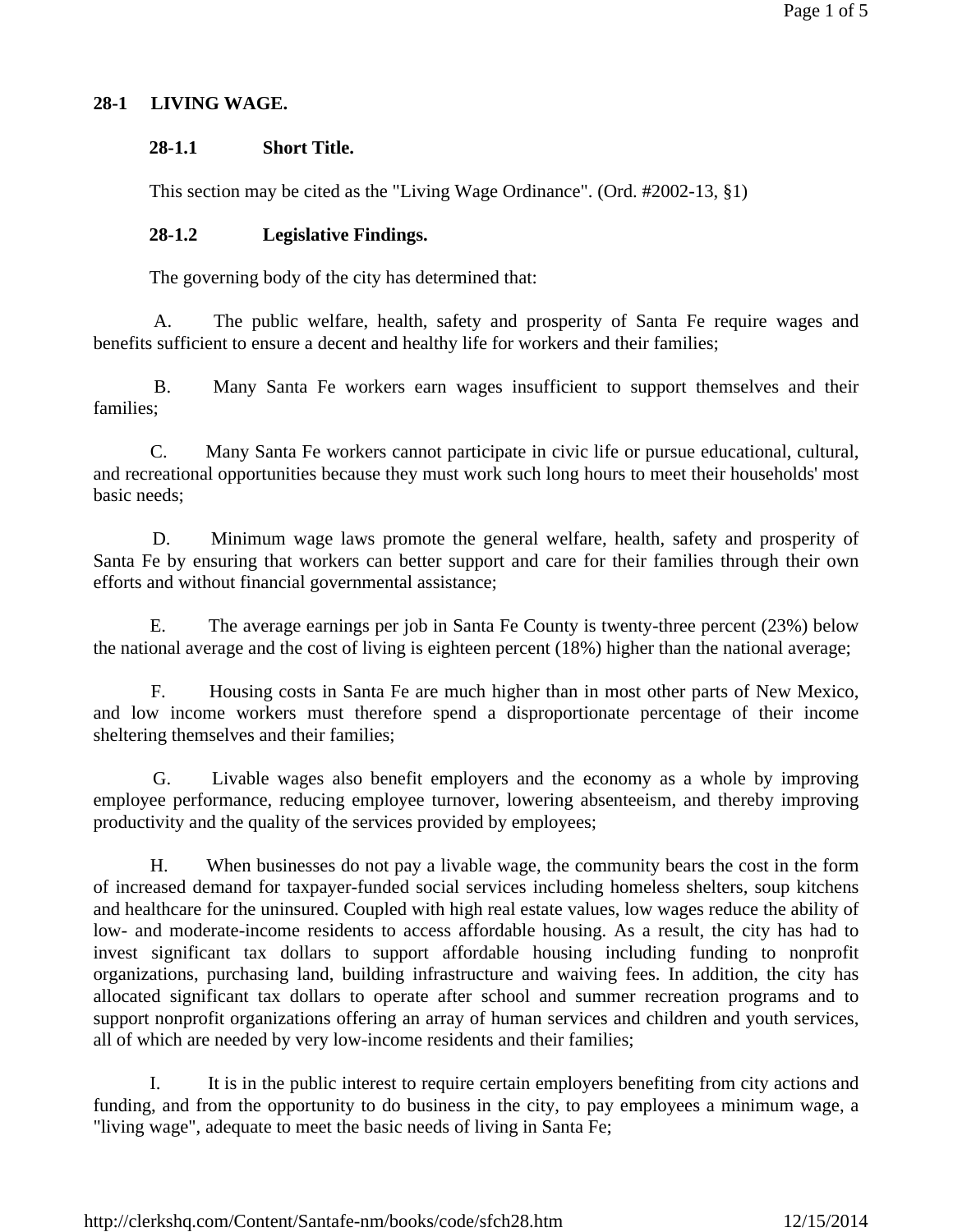# **28-1 LIVING WAGE.**

### **28-1.1 Short Title.**

This section may be cited as the "Living Wage Ordinance". (Ord. #2002-13, §1)

### **28-1.2 Legislative Findings.**

The governing body of the city has determined that:

 A. The public welfare, health, safety and prosperity of Santa Fe require wages and benefits sufficient to ensure a decent and healthy life for workers and their families;

 B. Many Santa Fe workers earn wages insufficient to support themselves and their families;

 C. Many Santa Fe workers cannot participate in civic life or pursue educational, cultural, and recreational opportunities because they must work such long hours to meet their households' most basic needs;

 D. Minimum wage laws promote the general welfare, health, safety and prosperity of Santa Fe by ensuring that workers can better support and care for their families through their own efforts and without financial governmental assistance;

 E. The average earnings per job in Santa Fe County is twenty-three percent (23%) below the national average and the cost of living is eighteen percent (18%) higher than the national average;

 F. Housing costs in Santa Fe are much higher than in most other parts of New Mexico, and low income workers must therefore spend a disproportionate percentage of their income sheltering themselves and their families;

 G. Livable wages also benefit employers and the economy as a whole by improving employee performance, reducing employee turnover, lowering absenteeism, and thereby improving productivity and the quality of the services provided by employees;

 H. When businesses do not pay a livable wage, the community bears the cost in the form of increased demand for taxpayer-funded social services including homeless shelters, soup kitchens and healthcare for the uninsured. Coupled with high real estate values, low wages reduce the ability of low- and moderate-income residents to access affordable housing. As a result, the city has had to invest significant tax dollars to support affordable housing including funding to nonprofit organizations, purchasing land, building infrastructure and waiving fees. In addition, the city has allocated significant tax dollars to operate after school and summer recreation programs and to support nonprofit organizations offering an array of human services and children and youth services, all of which are needed by very low-income residents and their families;

 I. It is in the public interest to require certain employers benefiting from city actions and funding, and from the opportunity to do business in the city, to pay employees a minimum wage, a "living wage", adequate to meet the basic needs of living in Santa Fe;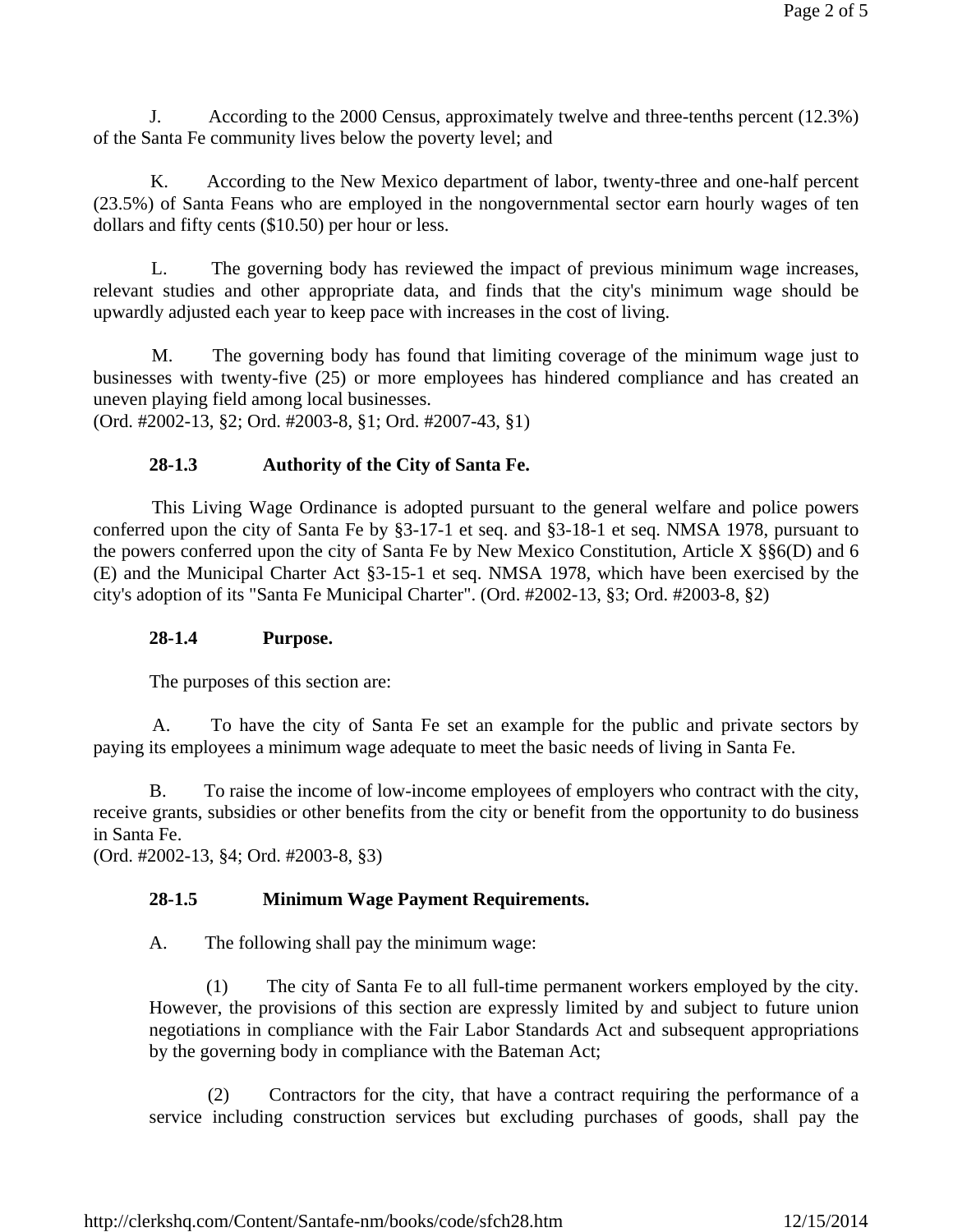J. According to the 2000 Census, approximately twelve and three-tenths percent (12.3%) of the Santa Fe community lives below the poverty level; and

 K. According to the New Mexico department of labor, twenty-three and one-half percent (23.5%) of Santa Feans who are employed in the nongovernmental sector earn hourly wages of ten dollars and fifty cents (\$10.50) per hour or less.

 L. The governing body has reviewed the impact of previous minimum wage increases, relevant studies and other appropriate data, and finds that the city's minimum wage should be upwardly adjusted each year to keep pace with increases in the cost of living.

 M. The governing body has found that limiting coverage of the minimum wage just to businesses with twenty-five (25) or more employees has hindered compliance and has created an uneven playing field among local businesses.

(Ord. #2002-13, §2; Ord. #2003-8, §1; Ord. #2007-43, §1)

# **28-1.3 Authority of the City of Santa Fe.**

 This Living Wage Ordinance is adopted pursuant to the general welfare and police powers conferred upon the city of Santa Fe by §3-17-1 et seq. and §3-18-1 et seq. NMSA 1978, pursuant to the powers conferred upon the city of Santa Fe by New Mexico Constitution, Article X §§6(D) and 6 (E) and the Municipal Charter Act §3-15-1 et seq. NMSA 1978, which have been exercised by the city's adoption of its "Santa Fe Municipal Charter". (Ord. #2002-13, §3; Ord. #2003-8, §2)

### **28-1.4 Purpose.**

The purposes of this section are:

 A. To have the city of Santa Fe set an example for the public and private sectors by paying its employees a minimum wage adequate to meet the basic needs of living in Santa Fe.

 B. To raise the income of low-income employees of employers who contract with the city, receive grants, subsidies or other benefits from the city or benefit from the opportunity to do business in Santa Fe.

(Ord. #2002-13, §4; Ord. #2003-8, §3)

### **28-1.5 Minimum Wage Payment Requirements.**

A. The following shall pay the minimum wage:

 (1) The city of Santa Fe to all full-time permanent workers employed by the city. However, the provisions of this section are expressly limited by and subject to future union negotiations in compliance with the Fair Labor Standards Act and subsequent appropriations by the governing body in compliance with the Bateman Act;

 (2) Contractors for the city, that have a contract requiring the performance of a service including construction services but excluding purchases of goods, shall pay the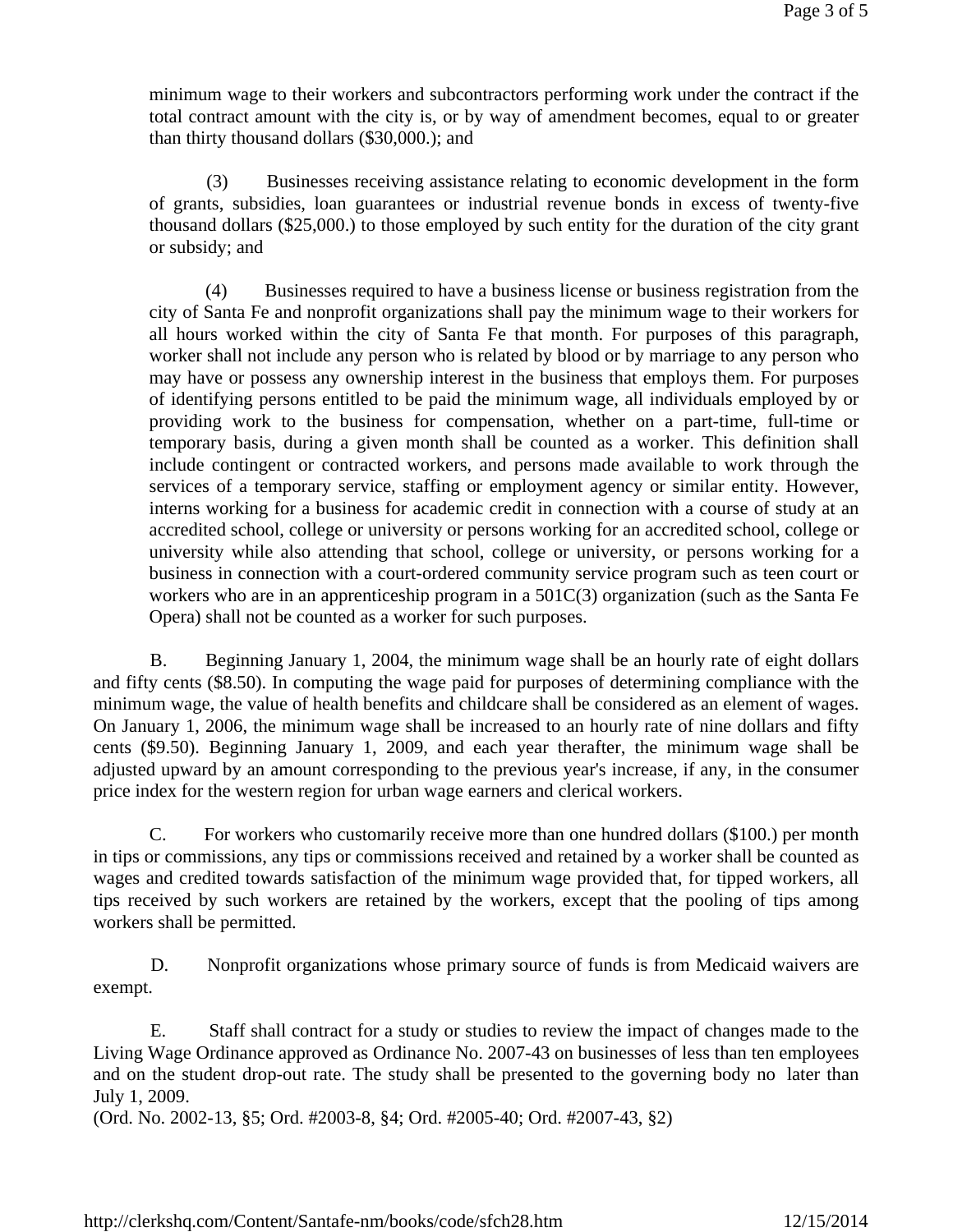minimum wage to their workers and subcontractors performing work under the contract if the total contract amount with the city is, or by way of amendment becomes, equal to or greater than thirty thousand dollars (\$30,000.); and

 (3) Businesses receiving assistance relating to economic development in the form of grants, subsidies, loan guarantees or industrial revenue bonds in excess of twenty-five thousand dollars (\$25,000.) to those employed by such entity for the duration of the city grant or subsidy; and

 (4) Businesses required to have a business license or business registration from the city of Santa Fe and nonprofit organizations shall pay the minimum wage to their workers for all hours worked within the city of Santa Fe that month. For purposes of this paragraph, worker shall not include any person who is related by blood or by marriage to any person who may have or possess any ownership interest in the business that employs them. For purposes of identifying persons entitled to be paid the minimum wage, all individuals employed by or providing work to the business for compensation, whether on a part-time, full-time or temporary basis, during a given month shall be counted as a worker. This definition shall include contingent or contracted workers, and persons made available to work through the services of a temporary service, staffing or employment agency or similar entity. However, interns working for a business for academic credit in connection with a course of study at an accredited school, college or university or persons working for an accredited school, college or university while also attending that school, college or university, or persons working for a business in connection with a court-ordered community service program such as teen court or workers who are in an apprenticeship program in a 501C(3) organization (such as the Santa Fe Opera) shall not be counted as a worker for such purposes.

 B. Beginning January 1, 2004, the minimum wage shall be an hourly rate of eight dollars and fifty cents (\$8.50). In computing the wage paid for purposes of determining compliance with the minimum wage, the value of health benefits and childcare shall be considered as an element of wages. On January 1, 2006, the minimum wage shall be increased to an hourly rate of nine dollars and fifty cents (\$9.50). Beginning January 1, 2009, and each year therafter, the minimum wage shall be adjusted upward by an amount corresponding to the previous year's increase, if any, in the consumer price index for the western region for urban wage earners and clerical workers.

 C. For workers who customarily receive more than one hundred dollars (\$100.) per month in tips or commissions, any tips or commissions received and retained by a worker shall be counted as wages and credited towards satisfaction of the minimum wage provided that, for tipped workers, all tips received by such workers are retained by the workers, except that the pooling of tips among workers shall be permitted.

 D. Nonprofit organizations whose primary source of funds is from Medicaid waivers are exempt.

 E. Staff shall contract for a study or studies to review the impact of changes made to the Living Wage Ordinance approved as Ordinance No. 2007-43 on businesses of less than ten employees and on the student drop-out rate. The study shall be presented to the governing body no later than July 1, 2009.

(Ord. No. 2002-13, §5; Ord. #2003-8, §4; Ord. #2005-40; Ord. #2007-43, §2)

http://clerkshq.com/Content/Santafe-nm/books/code/sfch28.htm 12/15/2014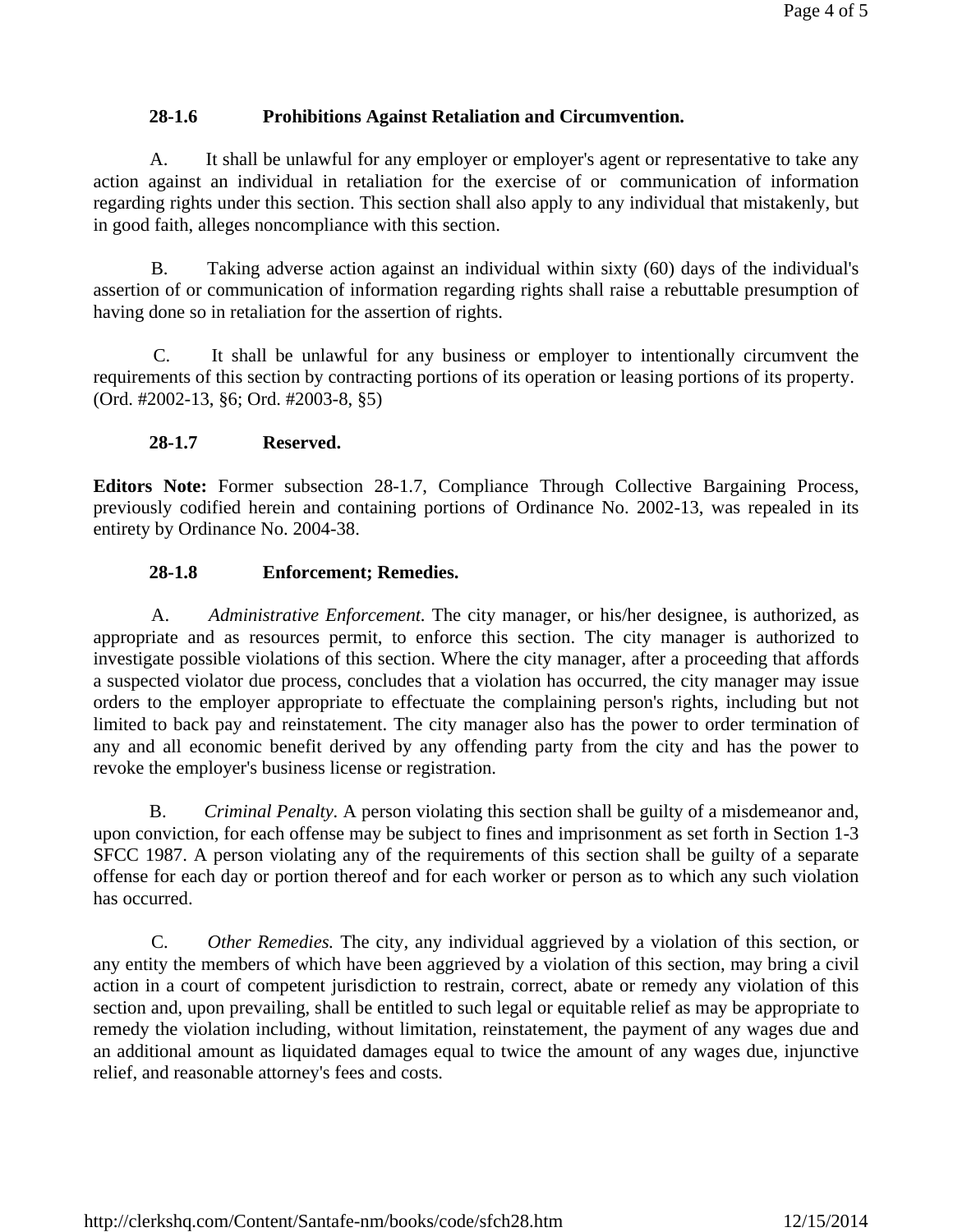# **28-1.6 Prohibitions Against Retaliation and Circumvention.**

 A. It shall be unlawful for any employer or employer's agent or representative to take any action against an individual in retaliation for the exercise of or communication of information regarding rights under this section. This section shall also apply to any individual that mistakenly, but in good faith, alleges noncompliance with this section.

 B. Taking adverse action against an individual within sixty (60) days of the individual's assertion of or communication of information regarding rights shall raise a rebuttable presumption of having done so in retaliation for the assertion of rights.

 C. It shall be unlawful for any business or employer to intentionally circumvent the requirements of this section by contracting portions of its operation or leasing portions of its property. (Ord. #2002-13, §6; Ord. #2003-8, §5)

# **28-1.7 Reserved.**

**Editors Note:** Former subsection 28-1.7, Compliance Through Collective Bargaining Process, previously codified herein and containing portions of Ordinance No. 2002-13, was repealed in its entirety by Ordinance No. 2004-38.

# **28-1.8 Enforcement; Remedies.**

 A. *Administrative Enforcement.* The city manager, or his/her designee, is authorized, as appropriate and as resources permit, to enforce this section. The city manager is authorized to investigate possible violations of this section. Where the city manager, after a proceeding that affords a suspected violator due process, concludes that a violation has occurred, the city manager may issue orders to the employer appropriate to effectuate the complaining person's rights, including but not limited to back pay and reinstatement. The city manager also has the power to order termination of any and all economic benefit derived by any offending party from the city and has the power to revoke the employer's business license or registration.

 B. *Criminal Penalty.* A person violating this section shall be guilty of a misdemeanor and, upon conviction, for each offense may be subject to fines and imprisonment as set forth in Section 1-3 SFCC 1987. A person violating any of the requirements of this section shall be guilty of a separate offense for each day or portion thereof and for each worker or person as to which any such violation has occurred.

 C. *Other Remedies.* The city, any individual aggrieved by a violation of this section, or any entity the members of which have been aggrieved by a violation of this section, may bring a civil action in a court of competent jurisdiction to restrain, correct, abate or remedy any violation of this section and, upon prevailing, shall be entitled to such legal or equitable relief as may be appropriate to remedy the violation including, without limitation, reinstatement, the payment of any wages due and an additional amount as liquidated damages equal to twice the amount of any wages due, injunctive relief, and reasonable attorney's fees and costs.